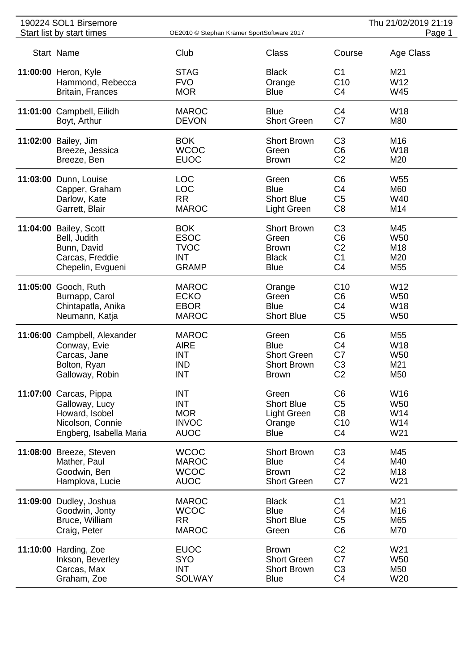| 190224 SOL1 Birsemore        |                                            |                    |                 | Thu 21/02/2019 21:19 |
|------------------------------|--------------------------------------------|--------------------|-----------------|----------------------|
| Start list by start times    | OE2010 © Stephan Krämer SportSoftware 2017 |                    |                 | Page 1               |
| Start Name                   | Club                                       | <b>Class</b>       | Course          | Age Class            |
| 11:00:00 Heron, Kyle         | <b>STAG</b>                                | <b>Black</b>       | C1              | M21                  |
| Hammond, Rebecca             | <b>FVO</b>                                 | Orange             | C <sub>10</sub> | W12                  |
| <b>Britain, Frances</b>      | <b>MOR</b>                                 | <b>Blue</b>        | C4              | W45                  |
| 11:01:00 Campbell, Eilidh    | <b>MAROC</b>                               | <b>Blue</b>        | C <sub>4</sub>  | W <sub>18</sub>      |
| Boyt, Arthur                 | <b>DEVON</b>                               | <b>Short Green</b> | C7              | M80                  |
|                              |                                            |                    |                 |                      |
| 11:02:00 Bailey, Jim         | <b>BOK</b>                                 | <b>Short Brown</b> | C <sub>3</sub>  | M16                  |
| Breeze, Jessica              | <b>WCOC</b>                                | Green              | C <sub>6</sub>  | <b>W18</b>           |
| Breeze, Ben                  | <b>EUOC</b>                                | <b>Brown</b>       | C <sub>2</sub>  | M20                  |
| 11:03:00 Dunn, Louise        | <b>LOC</b>                                 | Green              | C <sub>6</sub>  | W <sub>55</sub>      |
| Capper, Graham               | <b>LOC</b>                                 | <b>Blue</b>        | C4              | M60                  |
| Darlow, Kate                 | <b>RR</b>                                  | <b>Short Blue</b>  | C <sub>5</sub>  | W40                  |
| Garrett, Blair               | <b>MAROC</b>                               | Light Green        | C <sub>8</sub>  | M14                  |
| 11:04:00 Bailey, Scott       | <b>BOK</b>                                 | <b>Short Brown</b> | C <sub>3</sub>  | M45                  |
| Bell, Judith                 | <b>ESOC</b>                                | Green              | C <sub>6</sub>  | W <sub>50</sub>      |
| Bunn, David                  | <b>TVOC</b>                                | <b>Brown</b>       | C <sub>2</sub>  | M18                  |
| Carcas, Freddie              | <b>INT</b>                                 | <b>Black</b>       | C <sub>1</sub>  | M20                  |
| Chepelin, Evgueni            | <b>GRAMP</b>                               | <b>Blue</b>        | C <sub>4</sub>  | M55                  |
| 11:05:00 Gooch, Ruth         | <b>MAROC</b>                               | Orange             | C <sub>10</sub> | W12                  |
| Burnapp, Carol               | <b>ECKO</b>                                | Green              | C <sub>6</sub>  | <b>W50</b>           |
| Chintapatla, Anika           | <b>EBOR</b>                                | <b>Blue</b>        | C4              | W <sub>18</sub>      |
| Neumann, Katja               | <b>MAROC</b>                               | <b>Short Blue</b>  | C <sub>5</sub>  | W <sub>50</sub>      |
| 11:06:00 Campbell, Alexander | <b>MAROC</b>                               | Green              | C6              | M55                  |
| Conway, Evie                 | <b>AIRE</b>                                | <b>Blue</b>        | C4              | W18                  |
| Carcas, Jane                 | <b>INT</b>                                 | <b>Short Green</b> | C7              | W <sub>50</sub>      |
| Bolton, Ryan                 | <b>IND</b>                                 | <b>Short Brown</b> | C <sub>3</sub>  | M21                  |
| Galloway, Robin              | <b>INT</b>                                 | <b>Brown</b>       | C <sub>2</sub>  | M50                  |
| 11:07:00 Carcas, Pippa       | <b>INT</b>                                 | Green              | C <sub>6</sub>  | W16                  |
| Galloway, Lucy               | <b>INT</b>                                 | <b>Short Blue</b>  | C <sub>5</sub>  | <b>W50</b>           |
| Howard, Isobel               | <b>MOR</b>                                 | Light Green        | C <sub>8</sub>  | W14                  |
| Nicolson, Connie             | <b>INVOC</b>                               | Orange             | C10             | W14                  |
| Engberg, Isabella Maria      | <b>AUOC</b>                                | <b>Blue</b>        | C <sub>4</sub>  | W21                  |
| 11:08:00 Breeze, Steven      | <b>WCOC</b>                                | <b>Short Brown</b> | C <sub>3</sub>  | M45                  |
| Mather, Paul                 | <b>MAROC</b>                               | <b>Blue</b>        | C4              | M40                  |
| Goodwin, Ben                 | <b>WCOC</b>                                | <b>Brown</b>       | C <sub>2</sub>  | M18                  |
| Hamplova, Lucie              | <b>AUOC</b>                                | <b>Short Green</b> | C7              | W21                  |
|                              |                                            |                    |                 |                      |
| 11:09:00 Dudley, Joshua      | <b>MAROC</b>                               | <b>Black</b>       | C <sub>1</sub>  | M21                  |
| Goodwin, Jonty               | <b>WCOC</b>                                | <b>Blue</b>        | C4              | M16                  |
| Bruce, William               | <b>RR</b>                                  | <b>Short Blue</b>  | C <sub>5</sub>  | M65                  |
| Craig, Peter                 | <b>MAROC</b>                               | Green              | C <sub>6</sub>  | M70                  |
| 11:10:00 Harding, Zoe        | <b>EUOC</b>                                | <b>Brown</b>       | C <sub>2</sub>  | W21                  |
| Inkson, Beverley             | <b>SYO</b>                                 | <b>Short Green</b> | C7              | W50                  |
| Carcas, Max                  | <b>INT</b>                                 | <b>Short Brown</b> | C <sub>3</sub>  | M50                  |
| Graham, Zoe                  | <b>SOLWAY</b>                              | <b>Blue</b>        | C <sub>4</sub>  | W20                  |
|                              |                                            |                    |                 |                      |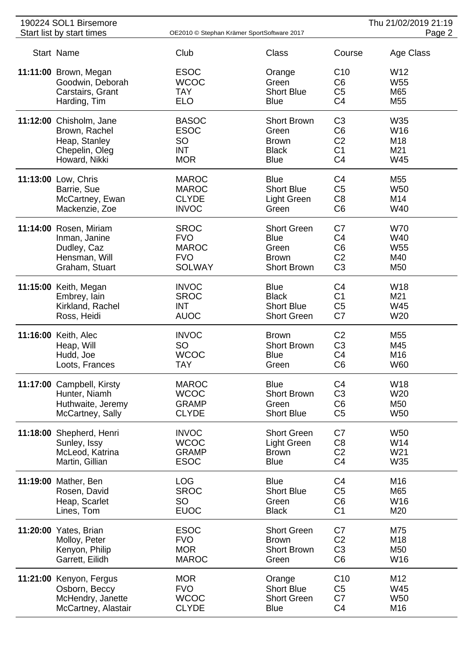| 190224 SOL1 Birsemore     |                                            |                    |                 | Thu 21/02/2019 21:19 |
|---------------------------|--------------------------------------------|--------------------|-----------------|----------------------|
| Start list by start times | OE2010 © Stephan Krämer SportSoftware 2017 |                    |                 | Page 2               |
| Start Name                | Club                                       | Class              | Course          | Age Class            |
| 11:11:00 Brown, Megan     | <b>ESOC</b>                                | Orange             | C <sub>10</sub> | W <sub>12</sub>      |
| Goodwin, Deborah          | <b>WCOC</b>                                | Green              | C <sub>6</sub>  | <b>W55</b>           |
| Carstairs, Grant          | <b>TAY</b>                                 | <b>Short Blue</b>  | C <sub>5</sub>  | M65                  |
| Harding, Tim              | <b>ELO</b>                                 | <b>Blue</b>        | C <sub>4</sub>  | M55                  |
|                           |                                            |                    |                 |                      |
| 11:12:00 Chisholm, Jane   | <b>BASOC</b>                               | <b>Short Brown</b> | C <sub>3</sub>  | W35                  |
| Brown, Rachel             | <b>ESOC</b>                                | Green              | C <sub>6</sub>  | W16                  |
| Heap, Stanley             | SO                                         | <b>Brown</b>       | C <sub>2</sub>  | M18                  |
| Chepelin, Oleg            | <b>INT</b>                                 | <b>Black</b>       | C <sub>1</sub>  | M21                  |
| Howard, Nikki             | <b>MOR</b>                                 | <b>Blue</b>        | C <sub>4</sub>  | W45                  |
| 11:13:00 Low, Chris       | <b>MAROC</b>                               | <b>Blue</b>        | C <sub>4</sub>  | M55                  |
| Barrie, Sue               | <b>MAROC</b>                               | <b>Short Blue</b>  | C <sub>5</sub>  | W <sub>50</sub>      |
| McCartney, Ewan           | <b>CLYDE</b>                               | <b>Light Green</b> | C <sub>8</sub>  | M14                  |
| Mackenzie, Zoe            | <b>INVOC</b>                               | Green              | C <sub>6</sub>  | W40                  |
| 11:14:00 Rosen, Miriam    | <b>SROC</b>                                | <b>Short Green</b> | C7              | <b>W70</b>           |
| Inman, Janine             | <b>FVO</b>                                 | <b>Blue</b>        | C <sub>4</sub>  | W40                  |
| Dudley, Caz               | <b>MAROC</b>                               | Green              | C <sub>6</sub>  | W <sub>55</sub>      |
| Hensman, Will             | <b>FVO</b>                                 | <b>Brown</b>       | C <sub>2</sub>  | M40                  |
| Graham, Stuart            | <b>SOLWAY</b>                              | <b>Short Brown</b> | C <sub>3</sub>  | M50                  |
|                           |                                            |                    |                 |                      |
| 11:15:00 Keith, Megan     | <b>INVOC</b>                               | <b>Blue</b>        | C <sub>4</sub>  | W <sub>18</sub>      |
| Embrey, lain              | <b>SROC</b>                                | <b>Black</b>       | C <sub>1</sub>  | M21                  |
| Kirkland, Rachel          | <b>INT</b>                                 | <b>Short Blue</b>  | C <sub>5</sub>  | W45                  |
| Ross, Heidi               | <b>AUOC</b>                                | <b>Short Green</b> | C7              | W20                  |
| 11:16:00 Keith, Alec      | <b>INVOC</b>                               | <b>Brown</b>       | C <sub>2</sub>  | M55                  |
| Heap, Will                | <b>SO</b>                                  | <b>Short Brown</b> | C <sub>3</sub>  | M45                  |
| Hudd, Joe                 | <b>WCOC</b>                                | <b>Blue</b>        | C <sub>4</sub>  | M16                  |
| Loots, Frances            | <b>TAY</b>                                 | Green              | C <sub>6</sub>  | W60                  |
| 11:17:00 Campbell, Kirsty | <b>MAROC</b>                               | <b>Blue</b>        | C <sub>4</sub>  | W18                  |
| Hunter, Niamh             | <b>WCOC</b>                                | <b>Short Brown</b> | C <sub>3</sub>  | W20                  |
| Huthwaite, Jeremy         | <b>GRAMP</b>                               | Green              | C <sub>6</sub>  | M50                  |
| McCartney, Sally          | <b>CLYDE</b>                               | <b>Short Blue</b>  | C <sub>5</sub>  | W <sub>50</sub>      |
|                           |                                            |                    |                 |                      |
| 11:18:00 Shepherd, Henri  | <b>INVOC</b>                               | <b>Short Green</b> | C7              | <b>W50</b>           |
| Sunley, Issy              | <b>WCOC</b>                                | Light Green        | C <sub>8</sub>  | W14                  |
| McLeod, Katrina           | <b>GRAMP</b>                               | <b>Brown</b>       | C <sub>2</sub>  | W21                  |
| Martin, Gillian           | <b>ESOC</b>                                | <b>Blue</b>        | C <sub>4</sub>  | W35                  |
| 11:19:00 Mather, Ben      | <b>LOG</b>                                 | <b>Blue</b>        | C <sub>4</sub>  | M16                  |
| Rosen, David              | <b>SROC</b>                                | <b>Short Blue</b>  | C <sub>5</sub>  | M65                  |
| Heap, Scarlet             | <b>SO</b>                                  | Green              | C <sub>6</sub>  | W16                  |
| Lines, Tom                | <b>EUOC</b>                                | <b>Black</b>       | C <sub>1</sub>  | M20                  |
| 11:20:00 Yates, Brian     | <b>ESOC</b>                                | <b>Short Green</b> | C7              | M75                  |
| Molloy, Peter             | <b>FVO</b>                                 | <b>Brown</b>       | C <sub>2</sub>  | M18                  |
| Kenyon, Philip            | <b>MOR</b>                                 | <b>Short Brown</b> | C <sub>3</sub>  | M50                  |
| Garrett, Eilidh           | <b>MAROC</b>                               | Green              | C <sub>6</sub>  | W16                  |
|                           |                                            |                    |                 |                      |
| 11:21:00 Kenyon, Fergus   | <b>MOR</b>                                 | Orange             | C10             | M12                  |
| Osborn, Beccy             | <b>FVO</b>                                 | <b>Short Blue</b>  | C <sub>5</sub>  | W45                  |
| McHendry, Janette         | <b>WCOC</b>                                | <b>Short Green</b> | C7              | <b>W50</b>           |
| McCartney, Alastair       | <b>CLYDE</b>                               | <b>Blue</b>        | C <sub>4</sub>  | M16                  |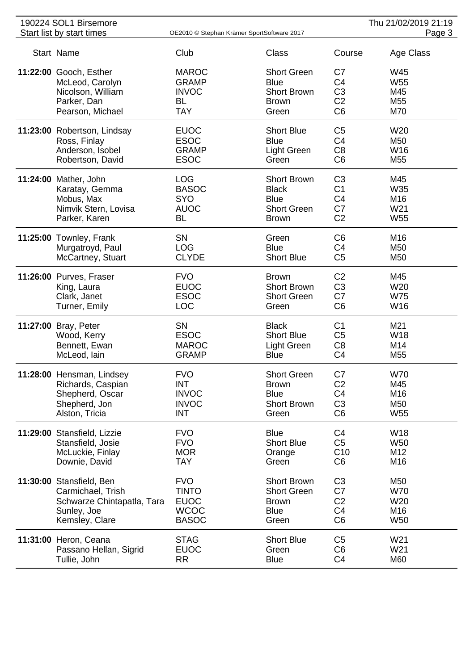| 190224 SOL1 Birsemore |                                                  |                                            |                                  | Thu 21/02/2019 21:19             |                          |
|-----------------------|--------------------------------------------------|--------------------------------------------|----------------------------------|----------------------------------|--------------------------|
|                       | Start list by start times                        | OE2010 © Stephan Krämer SportSoftware 2017 |                                  |                                  | Page 3                   |
|                       | Start Name                                       | Club                                       | Class                            | Course                           | Age Class                |
|                       | 11:22:00 Gooch, Esther                           | <b>MAROC</b>                               | <b>Short Green</b>               | C7                               | W45                      |
|                       | McLeod, Carolyn                                  | <b>GRAMP</b>                               | <b>Blue</b>                      | C <sub>4</sub>                   | W <sub>55</sub>          |
|                       | Nicolson, William                                | <b>INVOC</b>                               | <b>Short Brown</b>               | C <sub>3</sub>                   | M45                      |
|                       | Parker, Dan                                      | <b>BL</b>                                  | <b>Brown</b>                     | C <sub>2</sub>                   | M55                      |
|                       | Pearson, Michael                                 | <b>TAY</b>                                 | Green                            | C <sub>6</sub>                   | M70                      |
|                       |                                                  |                                            |                                  |                                  |                          |
|                       | 11:23:00 Robertson, Lindsay                      | <b>EUOC</b>                                | <b>Short Blue</b>                | C <sub>5</sub>                   | W20                      |
|                       | Ross, Finlay                                     | <b>ESOC</b>                                | <b>Blue</b>                      | C <sub>4</sub>                   | M50                      |
|                       | Anderson, Isobel                                 | <b>GRAMP</b>                               | Light Green                      | C <sub>8</sub>                   | W16                      |
|                       | Robertson, David                                 | <b>ESOC</b>                                | Green                            | C <sub>6</sub>                   | M <sub>55</sub>          |
|                       | 11:24:00 Mather, John                            | <b>LOG</b>                                 | <b>Short Brown</b>               | C <sub>3</sub>                   | M45                      |
|                       | Karatay, Gemma                                   | <b>BASOC</b>                               | <b>Black</b>                     | C <sub>1</sub>                   | W35                      |
|                       | Mobus, Max                                       | <b>SYO</b>                                 | <b>Blue</b>                      | C <sub>4</sub>                   | M16                      |
|                       | Nimvik Stern, Lovisa                             | <b>AUOC</b>                                | <b>Short Green</b>               | C7                               | W21                      |
|                       | Parker, Karen                                    | <b>BL</b>                                  | <b>Brown</b>                     | C <sub>2</sub>                   | W <sub>55</sub>          |
|                       |                                                  |                                            |                                  |                                  |                          |
|                       | 11:25:00 Townley, Frank                          | <b>SN</b>                                  | Green                            | C <sub>6</sub>                   | M16                      |
|                       | Murgatroyd, Paul                                 | <b>LOG</b>                                 | <b>Blue</b>                      | C <sub>4</sub>                   | M <sub>50</sub>          |
|                       | McCartney, Stuart                                | <b>CLYDE</b>                               | <b>Short Blue</b>                | C <sub>5</sub>                   | M50                      |
|                       | 11:26:00 Purves, Fraser                          | <b>FVO</b>                                 | <b>Brown</b>                     | C <sub>2</sub>                   | M45                      |
|                       | King, Laura                                      | <b>EUOC</b>                                | <b>Short Brown</b>               | C <sub>3</sub>                   | W20                      |
|                       | Clark, Janet                                     | <b>ESOC</b>                                | <b>Short Green</b>               | C7                               | <b>W75</b>               |
|                       | Turner, Emily                                    | <b>LOC</b>                                 | Green                            | C <sub>6</sub>                   | W16                      |
|                       |                                                  |                                            |                                  |                                  |                          |
|                       | 11:27:00 Bray, Peter                             | <b>SN</b>                                  | <b>Black</b>                     | C <sub>1</sub>                   | M21                      |
|                       | Wood, Kerry                                      | <b>ESOC</b>                                | <b>Short Blue</b>                | C <sub>5</sub>                   | W18                      |
|                       | Bennett, Ewan                                    | <b>MAROC</b>                               | Light Green                      | C <sub>8</sub>                   | M14                      |
|                       | McLeod, lain                                     | <b>GRAMP</b>                               | <b>Blue</b>                      | C <sub>4</sub>                   | M <sub>55</sub>          |
|                       | 11:28:00 Hensman, Lindsey                        | <b>FVO</b>                                 | <b>Short Green</b>               | C7                               | <b>W70</b>               |
|                       | Richards, Caspian                                | <b>INT</b>                                 | <b>Brown</b>                     | C <sub>2</sub>                   | M45                      |
|                       | Shepherd, Oscar                                  | <b>INVOC</b>                               | <b>Blue</b>                      | C <sub>4</sub>                   | M16                      |
|                       | Shepherd, Jon                                    | <b>INVOC</b>                               | <b>Short Brown</b>               | C <sub>3</sub>                   | M50                      |
|                       | Alston, Tricia                                   | <b>INT</b>                                 | Green                            | C <sub>6</sub>                   | W <sub>55</sub>          |
|                       |                                                  |                                            |                                  |                                  |                          |
|                       | 11:29:00 Stansfield, Lizzie<br>Stansfield, Josie | <b>FVO</b><br><b>FVO</b>                   | <b>Blue</b><br><b>Short Blue</b> | C <sub>4</sub><br>C <sub>5</sub> | <b>W18</b><br><b>W50</b> |
|                       | McLuckie, Finlay                                 | <b>MOR</b>                                 |                                  | C10                              | M12                      |
|                       | Downie, David                                    | <b>TAY</b>                                 | Orange<br>Green                  | C <sub>6</sub>                   | M16                      |
|                       |                                                  |                                            |                                  |                                  |                          |
|                       | 11:30:00 Stansfield, Ben                         | <b>FVO</b>                                 | <b>Short Brown</b>               | C <sub>3</sub>                   | M50                      |
|                       | Carmichael, Trish                                | <b>TINTO</b>                               | <b>Short Green</b>               | C7                               | <b>W70</b>               |
|                       | Schwarze Chintapatla, Tara                       | <b>EUOC</b>                                | <b>Brown</b>                     | C <sub>2</sub>                   | W20                      |
|                       | Sunley, Joe                                      | <b>WCOC</b>                                | <b>Blue</b>                      | C <sub>4</sub>                   | M16                      |
|                       | Kemsley, Clare                                   | <b>BASOC</b>                               | Green                            | C <sub>6</sub>                   | W <sub>50</sub>          |
|                       | 11:31:00 Heron, Ceana                            | <b>STAG</b>                                | <b>Short Blue</b>                | C <sub>5</sub>                   | W21                      |
|                       | Passano Hellan, Sigrid                           | <b>EUOC</b>                                | Green                            | C <sub>6</sub>                   | W21                      |
|                       | Tullie, John                                     | <b>RR</b>                                  | <b>Blue</b>                      | C <sub>4</sub>                   | M60                      |
|                       |                                                  |                                            |                                  |                                  |                          |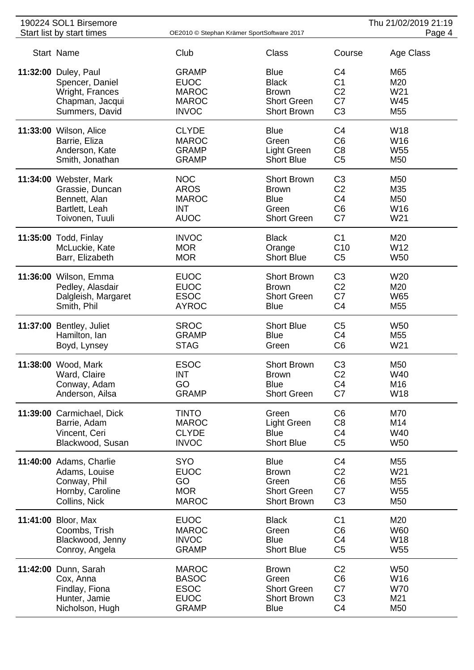| 190224 SOL1 Birsemore     |                                            |                    |                | Thu 21/02/2019 21:19 |
|---------------------------|--------------------------------------------|--------------------|----------------|----------------------|
| Start list by start times | OE2010 © Stephan Krämer SportSoftware 2017 |                    |                | Page 4               |
| Start Name                | Club                                       | <b>Class</b>       | Course         | Age Class            |
| 11:32:00 Duley, Paul      | <b>GRAMP</b>                               | <b>Blue</b>        | C4             | M65                  |
| Spencer, Daniel           | <b>EUOC</b>                                | <b>Black</b>       | C <sub>1</sub> | M20                  |
| Wright, Frances           | <b>MAROC</b>                               | <b>Brown</b>       | C <sub>2</sub> | W21                  |
| Chapman, Jacqui           | <b>MAROC</b>                               | <b>Short Green</b> | C7             | W45                  |
| Summers, David            | <b>INVOC</b>                               | <b>Short Brown</b> | C <sub>3</sub> | M <sub>55</sub>      |
| 11:33:00 Wilson, Alice    | <b>CLYDE</b>                               | <b>Blue</b>        | C <sub>4</sub> | W18                  |
| Barrie, Eliza             | <b>MAROC</b>                               | Green              | C <sub>6</sub> | W <sub>16</sub>      |
| Anderson, Kate            | <b>GRAMP</b>                               | <b>Light Green</b> | C <sub>8</sub> | W <sub>55</sub>      |
| Smith, Jonathan           | <b>GRAMP</b>                               | <b>Short Blue</b>  | C <sub>5</sub> | M50                  |
| 11:34:00 Webster, Mark    | <b>NOC</b>                                 | <b>Short Brown</b> | C <sub>3</sub> | M50                  |
| Grassie, Duncan           | <b>AROS</b>                                | <b>Brown</b>       | C <sub>2</sub> | M35                  |
| Bennett, Alan             | <b>MAROC</b>                               | <b>Blue</b>        | C <sub>4</sub> | M50                  |
| Bartlett, Leah            | <b>INT</b>                                 | Green              | C <sub>6</sub> | W16                  |
| Toivonen, Tuuli           | <b>AUOC</b>                                | <b>Short Green</b> | C7             | W21                  |
| 11:35:00 Todd, Finlay     | <b>INVOC</b>                               | <b>Black</b>       | C <sub>1</sub> | M20                  |
| McLuckie, Kate            | <b>MOR</b>                                 | Orange             | C10            | W12                  |
| Barr, Elizabeth           | <b>MOR</b>                                 | <b>Short Blue</b>  | C <sub>5</sub> | W <sub>50</sub>      |
| 11:36:00 Wilson, Emma     | <b>EUOC</b>                                | <b>Short Brown</b> | C <sub>3</sub> | W20                  |
| Pedley, Alasdair          | <b>EUOC</b>                                | <b>Brown</b>       | C <sub>2</sub> | M20                  |
| Dalgleish, Margaret       | <b>ESOC</b>                                | <b>Short Green</b> | C7             | <b>W65</b>           |
| Smith, Phil               | <b>AYROC</b>                               | <b>Blue</b>        | C <sub>4</sub> | M55                  |
| 11:37:00 Bentley, Juliet  | <b>SROC</b>                                | <b>Short Blue</b>  | C <sub>5</sub> | W <sub>50</sub>      |
| Hamilton, Ian             | <b>GRAMP</b>                               | <b>Blue</b>        | C <sub>4</sub> | M <sub>55</sub>      |
| Boyd, Lynsey              | <b>STAG</b>                                | Green              | C <sub>6</sub> | W21                  |
| 11:38:00 Wood, Mark       | <b>ESOC</b>                                | <b>Short Brown</b> | C <sub>3</sub> | M50                  |
| Ward, Claire              | <b>INT</b>                                 | <b>Brown</b>       | C <sub>2</sub> | W40                  |
| Conway, Adam              | GO                                         | <b>Blue</b>        | C <sub>4</sub> | M16                  |
| Anderson, Ailsa           | <b>GRAMP</b>                               | <b>Short Green</b> | C7             | W18                  |
| 11:39:00 Carmichael, Dick | <b>TINTO</b>                               | Green              | C <sub>6</sub> | M70                  |
| Barrie, Adam              | <b>MAROC</b>                               | <b>Light Green</b> | C <sub>8</sub> | M14                  |
| Vincent, Ceri             | <b>CLYDE</b>                               | <b>Blue</b>        | C <sub>4</sub> | W40                  |
| Blackwood, Susan          | <b>INVOC</b>                               | <b>Short Blue</b>  | C <sub>5</sub> | <b>W50</b>           |
| 11:40:00 Adams, Charlie   | <b>SYO</b>                                 | <b>Blue</b>        | C <sub>4</sub> | M <sub>55</sub>      |
| Adams, Louise             | <b>EUOC</b>                                | <b>Brown</b>       | C <sub>2</sub> | W21                  |
| Conway, Phil              | GO                                         | Green              | C <sub>6</sub> | M55                  |
| Hornby, Caroline          | <b>MOR</b>                                 | <b>Short Green</b> | C7             | W <sub>55</sub>      |
| Collins, Nick             | <b>MAROC</b>                               | <b>Short Brown</b> | C <sub>3</sub> | M50                  |
| 11:41:00 Bloor, Max       | <b>EUOC</b>                                | <b>Black</b>       | C <sub>1</sub> | M20                  |
| Coombs, Trish             | <b>MAROC</b>                               | Green              | C <sub>6</sub> | <b>W60</b>           |
| Blackwood, Jenny          | <b>INVOC</b>                               | <b>Blue</b>        | C <sub>4</sub> | W18                  |
| Conroy, Angela            | <b>GRAMP</b>                               | <b>Short Blue</b>  | C <sub>5</sub> | W <sub>55</sub>      |
| 11:42:00 Dunn, Sarah      | <b>MAROC</b>                               | <b>Brown</b>       | C <sub>2</sub> | W <sub>50</sub>      |
| Cox, Anna                 | <b>BASOC</b>                               | Green              | C <sub>6</sub> | W16                  |
| Findlay, Fiona            | <b>ESOC</b>                                | <b>Short Green</b> | C7             | <b>W70</b>           |
| Hunter, Jamie             | <b>EUOC</b>                                | <b>Short Brown</b> | C <sub>3</sub> | M21                  |
| Nicholson, Hugh           | <b>GRAMP</b>                               | <b>Blue</b>        | C <sub>4</sub> | M50                  |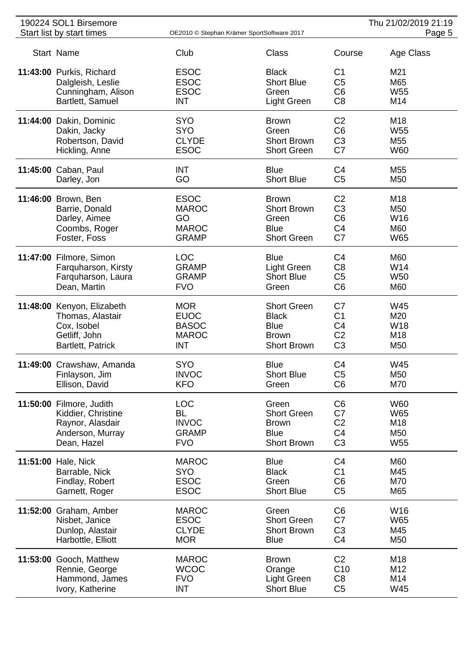| 190224 SOL1 Birsemore      |                                            |                    |                | Thu 21/02/2019 21:19 |
|----------------------------|--------------------------------------------|--------------------|----------------|----------------------|
| Start list by start times  | OE2010 © Stephan Krämer SportSoftware 2017 |                    |                | Page 5               |
| Start Name                 | Club                                       | Class              | Course         | Age Class            |
| 11:43:00 Purkis, Richard   | <b>ESOC</b>                                | <b>Black</b>       | C <sub>1</sub> | M21                  |
| Dalgleish, Leslie          | <b>ESOC</b>                                | <b>Short Blue</b>  | C <sub>5</sub> | M65                  |
| Cunningham, Alison         | <b>ESOC</b>                                | Green              | C <sub>6</sub> | W <sub>55</sub>      |
| Bartlett, Samuel           | <b>INT</b>                                 | Light Green        | C <sub>8</sub> | M14                  |
|                            |                                            |                    |                |                      |
| 11:44:00 Dakin, Dominic    | <b>SYO</b>                                 | <b>Brown</b>       | C <sub>2</sub> | M18                  |
| Dakin, Jacky               | <b>SYO</b>                                 | Green              | C <sub>6</sub> | W <sub>55</sub>      |
| Robertson, David           | <b>CLYDE</b>                               | <b>Short Brown</b> | C <sub>3</sub> | M55                  |
| Hickling, Anne             | <b>ESOC</b>                                | <b>Short Green</b> | C7             | <b>W60</b>           |
|                            |                                            |                    |                |                      |
| 11:45:00 Caban, Paul       | <b>INT</b>                                 | <b>Blue</b>        | C <sub>4</sub> | M55                  |
| Darley, Jon                | GO                                         | <b>Short Blue</b>  | C <sub>5</sub> | M50                  |
| 11:46:00 Brown, Ben        | <b>ESOC</b>                                | <b>Brown</b>       | C <sub>2</sub> | M18                  |
| Barrie, Donald             | <b>MAROC</b>                               | <b>Short Brown</b> | C <sub>3</sub> | M50                  |
| Darley, Aimee              | GO                                         | Green              | C <sub>6</sub> | W16                  |
| Coombs, Roger              | <b>MAROC</b>                               | <b>Blue</b>        | C <sub>4</sub> | M60                  |
| Foster, Foss               | <b>GRAMP</b>                               | <b>Short Green</b> | C7             | <b>W65</b>           |
|                            |                                            |                    |                |                      |
| 11:47:00 Filmore, Simon    | <b>LOC</b>                                 | <b>Blue</b>        | C4             | M60                  |
| Farquharson, Kirsty        | <b>GRAMP</b>                               | Light Green        | C <sub>8</sub> | W14                  |
| Farquharson, Laura         | <b>GRAMP</b>                               | <b>Short Blue</b>  | C <sub>5</sub> | W <sub>50</sub>      |
| Dean, Martin               | <b>FVO</b>                                 | Green              | C <sub>6</sub> | M60                  |
|                            |                                            |                    |                |                      |
| 11:48:00 Kenyon, Elizabeth | <b>MOR</b>                                 | <b>Short Green</b> | C7             | W45                  |
| Thomas, Alastair           | <b>EUOC</b>                                | <b>Black</b>       | C <sub>1</sub> | M20                  |
| Cox, Isobel                | <b>BASOC</b>                               | <b>Blue</b>        | C <sub>4</sub> | W18                  |
| Getliff, John              | <b>MAROC</b>                               | <b>Brown</b>       | C <sub>2</sub> | M <sub>18</sub>      |
| Bartlett, Patrick          | <b>INT</b>                                 | <b>Short Brown</b> | C <sub>3</sub> | M50                  |
| 11:49:00 Crawshaw, Amanda  | <b>SYO</b>                                 | <b>Blue</b>        | C <sub>4</sub> | W45                  |
| Finlayson, Jim             | <b>INVOC</b>                               | <b>Short Blue</b>  | C <sub>5</sub> | M50                  |
| Ellison, David             | <b>KFO</b>                                 | Green              | C <sub>6</sub> | M70                  |
|                            |                                            |                    |                |                      |
| 11:50:00 Filmore, Judith   | <b>LOC</b>                                 | Green              | C <sub>6</sub> | <b>W60</b>           |
| Kiddier, Christine         | <b>BL</b>                                  | <b>Short Green</b> | C7             | W65                  |
| Raynor, Alasdair           | <b>INVOC</b>                               | <b>Brown</b>       | C <sub>2</sub> | M18                  |
| Anderson, Murray           | <b>GRAMP</b>                               | <b>Blue</b>        | C <sub>4</sub> | M50                  |
| Dean, Hazel                | <b>FVO</b>                                 | <b>Short Brown</b> | C <sub>3</sub> | W <sub>55</sub>      |
| 11:51:00 Hale, Nick        | <b>MAROC</b>                               | <b>Blue</b>        | C <sub>4</sub> | M60                  |
|                            |                                            |                    |                |                      |
| Barrable, Nick             | <b>SYO</b>                                 | <b>Black</b>       | C <sub>1</sub> | M45                  |
| Findlay, Robert            | <b>ESOC</b>                                | Green              | C <sub>6</sub> | M70                  |
| Garnett, Roger             | <b>ESOC</b>                                | <b>Short Blue</b>  | C <sub>5</sub> | M65                  |
| 11:52:00 Graham, Amber     | <b>MAROC</b>                               | Green              | C <sub>6</sub> | W16                  |
| Nisbet, Janice             | <b>ESOC</b>                                | <b>Short Green</b> | C7             | W65                  |
| Dunlop, Alastair           | <b>CLYDE</b>                               | <b>Short Brown</b> | C <sub>3</sub> | M45                  |
| Harbottle, Elliott         | <b>MOR</b>                                 | <b>Blue</b>        | C <sub>4</sub> | M50                  |
|                            |                                            |                    |                |                      |
| 11:53:00 Gooch, Matthew    | <b>MAROC</b>                               | <b>Brown</b>       | C <sub>2</sub> | M18                  |
| Rennie, George             | <b>WCOC</b>                                | Orange             | C10            | M12                  |
| Hammond, James             | <b>FVO</b>                                 | Light Green        | C <sub>8</sub> | M14                  |
| Ivory, Katherine           | <b>INT</b>                                 | <b>Short Blue</b>  | C <sub>5</sub> | W45                  |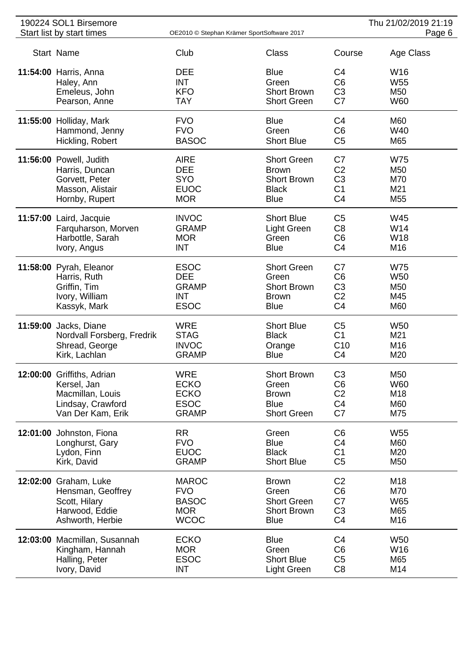| 190224 SOL1 Birsemore |                              |              |                                            | Thu 21/02/2019 21:19 |                 |
|-----------------------|------------------------------|--------------|--------------------------------------------|----------------------|-----------------|
|                       | Start list by start times    |              | OE2010 © Stephan Krämer SportSoftware 2017 |                      | Page 6          |
|                       | Start Name                   | Club         | <b>Class</b>                               | Course               | Age Class       |
|                       | 11:54:00 Harris, Anna        | <b>DEE</b>   | <b>Blue</b>                                | C4                   | W16             |
|                       | Haley, Ann                   | <b>INT</b>   | Green                                      | C <sub>6</sub>       | W <sub>55</sub> |
|                       | Emeleus, John                | <b>KFO</b>   | <b>Short Brown</b>                         | C <sub>3</sub>       | M50             |
|                       | Pearson, Anne                | <b>TAY</b>   | <b>Short Green</b>                         | C7                   | <b>W60</b>      |
|                       | 11:55:00 Holliday, Mark      | <b>FVO</b>   | <b>Blue</b>                                | C <sub>4</sub>       | M60             |
|                       | Hammond, Jenny               | <b>FVO</b>   | Green                                      | C <sub>6</sub>       | W40             |
|                       | Hickling, Robert             | <b>BASOC</b> | <b>Short Blue</b>                          | C <sub>5</sub>       | M65             |
|                       | 11:56:00 Powell, Judith      | <b>AIRE</b>  | <b>Short Green</b>                         | C7                   | <b>W75</b>      |
|                       | Harris, Duncan               | <b>DEE</b>   | <b>Brown</b>                               | C <sub>2</sub>       | M50             |
|                       | Gorvett, Peter               | <b>SYO</b>   | <b>Short Brown</b>                         | C <sub>3</sub>       | M70             |
|                       | Masson, Alistair             | <b>EUOC</b>  | <b>Black</b>                               | C <sub>1</sub>       | M21             |
|                       | Hornby, Rupert               | <b>MOR</b>   | <b>Blue</b>                                | C <sub>4</sub>       | M <sub>55</sub> |
|                       | 11:57:00 Laird, Jacquie      | <b>INVOC</b> | <b>Short Blue</b>                          | C <sub>5</sub>       | W45             |
|                       | Farquharson, Morven          | <b>GRAMP</b> | <b>Light Green</b>                         | C <sub>8</sub>       | W14             |
|                       | Harbottle, Sarah             | <b>MOR</b>   | Green                                      | C <sub>6</sub>       | W18             |
|                       | Ivory, Angus                 | <b>INT</b>   | <b>Blue</b>                                | C <sub>4</sub>       | M16             |
|                       | 11:58:00 Pyrah, Eleanor      | <b>ESOC</b>  | <b>Short Green</b>                         | C7                   | <b>W75</b>      |
|                       | Harris, Ruth                 | <b>DEE</b>   | Green                                      | C <sub>6</sub>       | <b>W50</b>      |
|                       | Griffin, Tim                 | <b>GRAMP</b> | <b>Short Brown</b>                         | C <sub>3</sub>       | M50             |
|                       | Ivory, William               | <b>INT</b>   | <b>Brown</b>                               | C <sub>2</sub>       | M45             |
|                       | Kassyk, Mark                 | <b>ESOC</b>  | <b>Blue</b>                                | C <sub>4</sub>       | M60             |
|                       | 11:59:00 Jacks, Diane        | <b>WRE</b>   | <b>Short Blue</b>                          | C <sub>5</sub>       | <b>W50</b>      |
|                       | Nordvall Forsberg, Fredrik   | <b>STAG</b>  | <b>Black</b>                               | C <sub>1</sub>       | M21             |
|                       | Shread, George               | <b>INVOC</b> | Orange                                     | C10                  | M16             |
|                       | Kirk, Lachlan                | <b>GRAMP</b> | <b>Blue</b>                                | C <sub>4</sub>       | M20             |
|                       | 12:00:00 Griffiths, Adrian   | WRE          | <b>Short Brown</b>                         | C <sub>3</sub>       | M50             |
|                       | Kersel, Jan                  | <b>ECKO</b>  | Green                                      | C <sub>6</sub>       | W60             |
|                       | Macmillan, Louis             | <b>ECKO</b>  | <b>Brown</b>                               | C <sub>2</sub>       | M18             |
|                       | Lindsay, Crawford            | <b>ESOC</b>  | <b>Blue</b>                                | C <sub>4</sub>       | M60             |
|                       | Van Der Kam, Erik            | <b>GRAMP</b> | <b>Short Green</b>                         | C7                   | M75             |
|                       | 12:01:00 Johnston, Fiona     | <b>RR</b>    | Green                                      | C <sub>6</sub>       | W <sub>55</sub> |
|                       | Longhurst, Gary              | <b>FVO</b>   | <b>Blue</b>                                | C4                   | M60             |
|                       | Lydon, Finn                  | <b>EUOC</b>  | <b>Black</b>                               | C <sub>1</sub>       | M20             |
|                       | Kirk, David                  | <b>GRAMP</b> | <b>Short Blue</b>                          | C <sub>5</sub>       | M50             |
|                       | 12:02:00 Graham, Luke        | <b>MAROC</b> | <b>Brown</b>                               | C <sub>2</sub>       | M18             |
|                       | Hensman, Geoffrey            | <b>FVO</b>   | Green                                      | C <sub>6</sub>       | M70             |
|                       | Scott, Hilary                | <b>BASOC</b> | <b>Short Green</b>                         | C7                   | <b>W65</b>      |
|                       | Harwood, Eddie               | <b>MOR</b>   | <b>Short Brown</b>                         | C <sub>3</sub>       | M65             |
|                       | Ashworth, Herbie             | <b>WCOC</b>  | <b>Blue</b>                                | C <sub>4</sub>       | M16             |
|                       | 12:03:00 Macmillan, Susannah | <b>ECKO</b>  | <b>Blue</b>                                | C <sub>4</sub>       | <b>W50</b>      |
|                       | Kingham, Hannah              | <b>MOR</b>   | Green                                      | C <sub>6</sub>       | W16             |
|                       | Halling, Peter               | <b>ESOC</b>  | <b>Short Blue</b>                          | C <sub>5</sub>       | M65             |
|                       | Ivory, David                 | <b>INT</b>   | Light Green                                | C <sub>8</sub>       | M14             |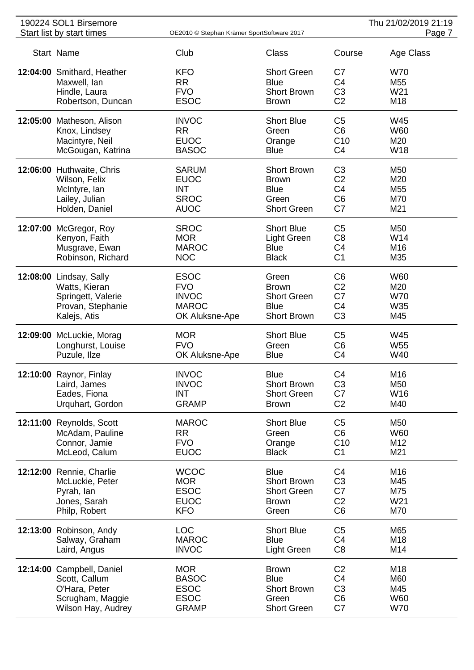| 190224 SOL1 Birsemore      |                                            |                    |                | Thu 21/02/2019 21:19 |
|----------------------------|--------------------------------------------|--------------------|----------------|----------------------|
| Start list by start times  | OE2010 © Stephan Krämer SportSoftware 2017 |                    |                | Page 7               |
| Start Name                 | Club                                       | <b>Class</b>       | Course         | Age Class            |
| 12:04:00 Smithard, Heather | <b>KFO</b>                                 | <b>Short Green</b> | C7             | <b>W70</b>           |
| Maxwell, Ian               | <b>RR</b>                                  | <b>Blue</b>        | C <sub>4</sub> | M55                  |
| Hindle, Laura              | <b>FVO</b>                                 | <b>Short Brown</b> | C <sub>3</sub> | W21                  |
| Robertson, Duncan          | <b>ESOC</b>                                | <b>Brown</b>       | C <sub>2</sub> | M18                  |
| 12:05:00 Matheson, Alison  | <b>INVOC</b>                               | <b>Short Blue</b>  | C <sub>5</sub> | W45                  |
| Knox, Lindsey              | <b>RR</b>                                  | Green              | C <sub>6</sub> | W60                  |
| Macintyre, Neil            | <b>EUOC</b>                                | Orange             | C10            | M20                  |
| McGougan, Katrina          | <b>BASOC</b>                               | <b>Blue</b>        | C <sub>4</sub> | <b>W18</b>           |
| 12:06:00 Huthwaite, Chris  | <b>SARUM</b>                               | <b>Short Brown</b> | C <sub>3</sub> | M50                  |
| Wilson, Felix              | <b>EUOC</b>                                | <b>Brown</b>       | C <sub>2</sub> | M20                  |
| McIntyre, lan              | <b>INT</b>                                 | <b>Blue</b>        | C <sub>4</sub> | M <sub>55</sub>      |
| Lailey, Julian             | <b>SROC</b>                                | Green              | C <sub>6</sub> | M70                  |
| Holden, Daniel             | <b>AUOC</b>                                | <b>Short Green</b> | C7             | M21                  |
| 12:07:00 McGregor, Roy     | <b>SROC</b>                                | <b>Short Blue</b>  | C <sub>5</sub> | M50                  |
| Kenyon, Faith              | <b>MOR</b>                                 | <b>Light Green</b> | C <sub>8</sub> | W14                  |
| Musgrave, Ewan             | <b>MAROC</b>                               | <b>Blue</b>        | C <sub>4</sub> | M16                  |
| Robinson, Richard          | <b>NOC</b>                                 | <b>Black</b>       | C <sub>1</sub> | M35                  |
| 12:08:00 Lindsay, Sally    | <b>ESOC</b>                                | Green              | C <sub>6</sub> | <b>W60</b>           |
| Watts, Kieran              | <b>FVO</b>                                 | <b>Brown</b>       | C <sub>2</sub> | M20                  |
| Springett, Valerie         | <b>INVOC</b>                               | <b>Short Green</b> | C7             | <b>W70</b>           |
| Provan, Stephanie          | <b>MAROC</b>                               | <b>Blue</b>        | C <sub>4</sub> | W35                  |
| Kalejs, Atis               | OK Aluksne-Ape                             | <b>Short Brown</b> | C <sub>3</sub> | M45                  |
| 12:09:00 McLuckie, Morag   | <b>MOR</b>                                 | <b>Short Blue</b>  | C <sub>5</sub> | W45                  |
| Longhurst, Louise          | <b>FVO</b>                                 | Green              | C <sub>6</sub> | W <sub>55</sub>      |
| Puzule, Ilze               | OK Aluksne-Ape                             | <b>Blue</b>        | C <sub>4</sub> | W40                  |
| 12:10:00 Raynor, Finlay    | <b>INVOC</b>                               | <b>Blue</b>        | C <sub>4</sub> | M16                  |
| Laird, James               | <b>INVOC</b>                               | <b>Short Brown</b> | C <sub>3</sub> | M50                  |
| Eades, Fiona               | <b>INT</b>                                 | <b>Short Green</b> | C7             | W16                  |
| Urquhart, Gordon           | <b>GRAMP</b>                               | <b>Brown</b>       | C <sub>2</sub> | M40                  |
| 12:11:00 Reynolds, Scott   | <b>MAROC</b>                               | <b>Short Blue</b>  | C <sub>5</sub> | M50                  |
| McAdam, Pauline            | <b>RR</b>                                  | Green              | C <sub>6</sub> | <b>W60</b>           |
| Connor, Jamie              | <b>FVO</b>                                 | Orange             | C10            | M12                  |
| McLeod, Calum              | <b>EUOC</b>                                | <b>Black</b>       | C <sub>1</sub> | M21                  |
| 12:12:00 Rennie, Charlie   | <b>WCOC</b>                                | <b>Blue</b>        | C <sub>4</sub> | M16                  |
| McLuckie, Peter            | <b>MOR</b>                                 | <b>Short Brown</b> | C <sub>3</sub> | M45                  |
| Pyrah, lan                 | <b>ESOC</b>                                | <b>Short Green</b> | C7             | M75                  |
| Jones, Sarah               | <b>EUOC</b>                                | <b>Brown</b>       | C <sub>2</sub> | W21                  |
| Philp, Robert              | <b>KFO</b>                                 | Green              | C <sub>6</sub> | M70                  |
| 12:13:00 Robinson, Andy    | <b>LOC</b>                                 | <b>Short Blue</b>  | C <sub>5</sub> | M65                  |
| Salway, Graham             | <b>MAROC</b>                               | <b>Blue</b>        | C <sub>4</sub> | M18                  |
| Laird, Angus               | <b>INVOC</b>                               | Light Green        | C <sub>8</sub> | M14                  |
| 12:14:00 Campbell, Daniel  | <b>MOR</b>                                 | <b>Brown</b>       | C <sub>2</sub> | M18                  |
| Scott, Callum              | <b>BASOC</b>                               | <b>Blue</b>        | C <sub>4</sub> | M60                  |
| O'Hara, Peter              | <b>ESOC</b>                                | <b>Short Brown</b> | C <sub>3</sub> | M45                  |
| Scrugham, Maggie           | <b>ESOC</b>                                | Green              | C <sub>6</sub> | <b>W60</b>           |
| Wilson Hay, Audrey         | <b>GRAMP</b>                               | <b>Short Green</b> | C7             | <b>W70</b>           |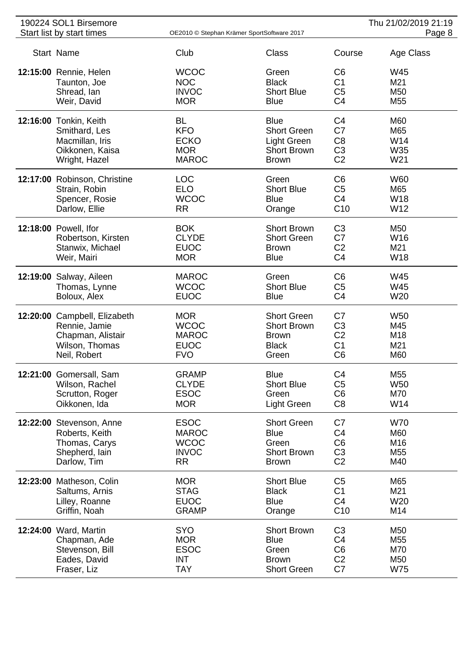| 190224 SOL1 Birsemore<br>Start list by start times<br>OE2010 © Stephan Krämer SportSoftware 2017 |                              |              |                    | Thu 21/02/2019 21:19<br>Page 8 |                 |
|--------------------------------------------------------------------------------------------------|------------------------------|--------------|--------------------|--------------------------------|-----------------|
|                                                                                                  |                              |              |                    |                                |                 |
|                                                                                                  | Start Name                   | Club         | Class              | Course                         | Age Class       |
|                                                                                                  | 12:15:00 Rennie, Helen       | <b>WCOC</b>  | Green              | C <sub>6</sub>                 | W45             |
|                                                                                                  | Taunton, Joe                 | <b>NOC</b>   | <b>Black</b>       | C <sub>1</sub>                 | M21             |
|                                                                                                  | Shread, Ian                  | <b>INVOC</b> | <b>Short Blue</b>  | C <sub>5</sub>                 | M50             |
|                                                                                                  | Weir, David                  | <b>MOR</b>   | <b>Blue</b>        | C <sub>4</sub>                 | M <sub>55</sub> |
|                                                                                                  |                              |              |                    |                                |                 |
|                                                                                                  | 12:16:00 Tonkin, Keith       | <b>BL</b>    | <b>Blue</b>        | C <sub>4</sub>                 | M60             |
|                                                                                                  | Smithard, Les                | <b>KFO</b>   | <b>Short Green</b> | C7                             | M65             |
|                                                                                                  | Macmillan, Iris              | <b>ECKO</b>  | Light Green        | C <sub>8</sub>                 | W14             |
|                                                                                                  | Oikkonen, Kaisa              | <b>MOR</b>   | <b>Short Brown</b> | C <sub>3</sub>                 | W35             |
|                                                                                                  | Wright, Hazel                | <b>MAROC</b> | <b>Brown</b>       | C <sub>2</sub>                 | W21             |
|                                                                                                  | 12:17:00 Robinson, Christine | <b>LOC</b>   | Green              | C <sub>6</sub>                 | <b>W60</b>      |
|                                                                                                  | Strain, Robin                | <b>ELO</b>   | <b>Short Blue</b>  | C <sub>5</sub>                 | M65             |
|                                                                                                  |                              | <b>WCOC</b>  | <b>Blue</b>        | C <sub>4</sub>                 | W18             |
|                                                                                                  | Spencer, Rosie               |              |                    |                                |                 |
|                                                                                                  | Darlow, Ellie                | <b>RR</b>    | Orange             | C10                            | W12             |
|                                                                                                  | 12:18:00 Powell, Ifor        | <b>BOK</b>   | <b>Short Brown</b> | C <sub>3</sub>                 | M50             |
|                                                                                                  | Robertson, Kirsten           | <b>CLYDE</b> | <b>Short Green</b> | C7                             | W <sub>16</sub> |
|                                                                                                  | Stanwix, Michael             | <b>EUOC</b>  | <b>Brown</b>       | C <sub>2</sub>                 | M21             |
|                                                                                                  | Weir, Mairi                  | <b>MOR</b>   | <b>Blue</b>        | C <sub>4</sub>                 | W18             |
|                                                                                                  | 12:19:00 Salway, Aileen      | <b>MAROC</b> | Green              | C <sub>6</sub>                 | W45             |
|                                                                                                  | Thomas, Lynne                | <b>WCOC</b>  | <b>Short Blue</b>  | C <sub>5</sub>                 | W45             |
|                                                                                                  | Boloux, Alex                 | <b>EUOC</b>  | <b>Blue</b>        | C <sub>4</sub>                 | W20             |
|                                                                                                  |                              |              |                    |                                |                 |
|                                                                                                  | 12:20:00 Campbell, Elizabeth | <b>MOR</b>   | <b>Short Green</b> | C7                             | W <sub>50</sub> |
|                                                                                                  | Rennie, Jamie                | <b>WCOC</b>  | <b>Short Brown</b> | C <sub>3</sub>                 | M45             |
|                                                                                                  | Chapman, Alistair            | <b>MAROC</b> | <b>Brown</b>       | C <sub>2</sub>                 | M18             |
|                                                                                                  | Wilson, Thomas               | <b>EUOC</b>  | <b>Black</b>       | C <sub>1</sub>                 | M21             |
|                                                                                                  | Neil, Robert                 | <b>FVO</b>   | Green              | C <sub>6</sub>                 | M60             |
|                                                                                                  | 12:21:00 Gomersall, Sam      | <b>GRAMP</b> | <b>Blue</b>        | C <sub>4</sub>                 | M55             |
|                                                                                                  | Wilson, Rachel               | <b>CLYDE</b> | <b>Short Blue</b>  | C <sub>5</sub>                 | W <sub>50</sub> |
|                                                                                                  | Scrutton, Roger              | <b>ESOC</b>  | Green              | C <sub>6</sub>                 | M70             |
|                                                                                                  | Oikkonen, Ida                | <b>MOR</b>   | Light Green        | C <sub>8</sub>                 | W14             |
|                                                                                                  |                              |              |                    |                                |                 |
|                                                                                                  | 12:22:00 Stevenson, Anne     | <b>ESOC</b>  | <b>Short Green</b> | C7                             | <b>W70</b>      |
|                                                                                                  | Roberts, Keith               | <b>MAROC</b> | <b>Blue</b>        | C <sub>4</sub>                 | M60             |
|                                                                                                  | Thomas, Carys                | <b>WCOC</b>  | Green              | C <sub>6</sub>                 | M16             |
|                                                                                                  | Shepherd, lain               | <b>INVOC</b> | <b>Short Brown</b> | C <sub>3</sub>                 | M55             |
|                                                                                                  | Darlow, Tim                  | <b>RR</b>    | <b>Brown</b>       | C <sub>2</sub>                 | M40             |
|                                                                                                  | 12:23:00 Matheson, Colin     | <b>MOR</b>   | <b>Short Blue</b>  | C <sub>5</sub>                 | M65             |
|                                                                                                  |                              | <b>STAG</b>  | <b>Black</b>       | C <sub>1</sub>                 | M21             |
|                                                                                                  | Saltums, Arnis               |              |                    |                                |                 |
|                                                                                                  | Lilley, Roanne               | <b>EUOC</b>  | <b>Blue</b>        | C4                             | W20             |
|                                                                                                  | Griffin, Noah                | <b>GRAMP</b> | Orange             | C10                            | M14             |
|                                                                                                  | 12:24:00 Ward, Martin        | <b>SYO</b>   | <b>Short Brown</b> | C <sub>3</sub>                 | M50             |
|                                                                                                  | Chapman, Ade                 | <b>MOR</b>   | <b>Blue</b>        | C <sub>4</sub>                 | M55             |
|                                                                                                  | Stevenson, Bill              | <b>ESOC</b>  | Green              | C <sub>6</sub>                 | M70             |
|                                                                                                  | Eades, David                 | <b>INT</b>   | <b>Brown</b>       | C <sub>2</sub>                 | M50             |
|                                                                                                  | Fraser, Liz                  | <b>TAY</b>   | <b>Short Green</b> | C7                             | W75             |
|                                                                                                  |                              |              |                    |                                |                 |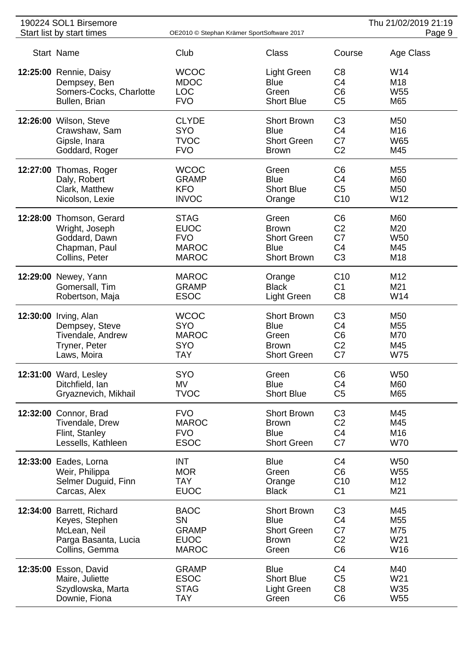| 190224 SOL1 Birsemore           |                           |                                            |                                  | Thu 21/02/2019 21:19   |
|---------------------------------|---------------------------|--------------------------------------------|----------------------------------|------------------------|
| Start list by start times       |                           | OE2010 © Stephan Krämer SportSoftware 2017 |                                  | Page 9                 |
| Start Name                      | Club                      | <b>Class</b>                               | Course                           | Age Class              |
| 12:25:00 Rennie, Daisy          | <b>WCOC</b>               | <b>Light Green</b>                         | C <sub>8</sub>                   | W14                    |
| Dempsey, Ben                    | <b>MDOC</b>               | <b>Blue</b>                                | C <sub>4</sub>                   | M <sub>18</sub>        |
| Somers-Cocks, Charlotte         | <b>LOC</b>                | Green                                      | C <sub>6</sub>                   | W <sub>55</sub>        |
| Bullen, Brian                   | <b>FVO</b>                | <b>Short Blue</b>                          | C <sub>5</sub>                   | M65                    |
| 12:26:00 Wilson, Steve          | <b>CLYDE</b>              | <b>Short Brown</b>                         | C <sub>3</sub>                   | M50                    |
| Crawshaw, Sam                   | <b>SYO</b>                | <b>Blue</b>                                | C <sub>4</sub>                   | M16                    |
| Gipsle, Inara<br>Goddard, Roger | <b>TVOC</b><br><b>FVO</b> | <b>Short Green</b><br><b>Brown</b>         | C7<br>C <sub>2</sub>             | W65<br>M45             |
|                                 |                           |                                            |                                  |                        |
| 12:27:00 Thomas, Roger          | <b>WCOC</b>               | Green                                      | C <sub>6</sub>                   | M55                    |
| Daly, Robert                    | <b>GRAMP</b>              | <b>Blue</b>                                | C <sub>4</sub>                   | M60                    |
| Clark, Matthew                  | <b>KFO</b>                | <b>Short Blue</b>                          | C <sub>5</sub>                   | M50                    |
| Nicolson, Lexie                 | <b>INVOC</b>              | Orange                                     | C <sub>10</sub>                  | W12                    |
| 12:28:00 Thomson, Gerard        | <b>STAG</b>               | Green                                      | C <sub>6</sub>                   | M60                    |
| Wright, Joseph                  | <b>EUOC</b><br><b>FVO</b> | <b>Brown</b><br><b>Short Green</b>         | C <sub>2</sub><br>C7             | M20<br>W <sub>50</sub> |
| Goddard, Dawn<br>Chapman, Paul  | <b>MAROC</b>              | <b>Blue</b>                                | C <sub>4</sub>                   | M45                    |
| Collins, Peter                  | <b>MAROC</b>              | <b>Short Brown</b>                         | C <sub>3</sub>                   | M18                    |
|                                 |                           |                                            |                                  |                        |
| 12:29:00 Newey, Yann            | <b>MAROC</b>              | Orange                                     | C10                              | M12                    |
| Gomersall, Tim                  | <b>GRAMP</b>              | <b>Black</b>                               | C <sub>1</sub>                   | M21                    |
| Robertson, Maja                 | <b>ESOC</b>               | Light Green                                | C <sub>8</sub>                   | W14                    |
| 12:30:00 Irving, Alan           | <b>WCOC</b>               | <b>Short Brown</b>                         | C <sub>3</sub>                   | M50                    |
| Dempsey, Steve                  | <b>SYO</b>                | <b>Blue</b>                                | C <sub>4</sub>                   | M <sub>55</sub>        |
| Tivendale, Andrew               | <b>MAROC</b>              | Green                                      | C <sub>6</sub>                   | M70                    |
| Tryner, Peter                   | <b>SYO</b>                | <b>Brown</b>                               | C <sub>2</sub>                   | M45                    |
| Laws, Moira                     | <b>TAY</b>                | <b>Short Green</b>                         | C7                               | <b>W75</b>             |
| 12:31:00 Ward, Lesley           | <b>SYO</b>                | Green                                      | C <sub>6</sub>                   | <b>W50</b>             |
| Ditchfield, Ian                 | MV<br><b>TVOC</b>         | <b>Blue</b><br><b>Short Blue</b>           | C <sub>4</sub><br>C <sub>5</sub> | M60<br>M65             |
| Gryaznevich, Mikhail            |                           |                                            |                                  |                        |
| 12:32:00 Connor, Brad           | <b>FVO</b>                | <b>Short Brown</b>                         | C <sub>3</sub>                   | M45                    |
| Tivendale, Drew                 | <b>MAROC</b>              | <b>Brown</b>                               | C <sub>2</sub>                   | M45                    |
| Flint, Stanley                  | <b>FVO</b>                | <b>Blue</b>                                | C <sub>4</sub>                   | M16                    |
| Lessells, Kathleen              | <b>ESOC</b>               | <b>Short Green</b>                         | C7                               | <b>W70</b>             |
| 12:33:00 Eades, Lorna           | <b>INT</b>                | <b>Blue</b>                                | C <sub>4</sub>                   | <b>W50</b>             |
| Weir, Philippa                  | <b>MOR</b>                | Green                                      | C <sub>6</sub>                   | W <sub>55</sub>        |
| Selmer Duguid, Finn             | <b>TAY</b>                | Orange                                     | C10                              | M12                    |
| Carcas, Alex                    | <b>EUOC</b>               | <b>Black</b>                               | C <sub>1</sub>                   | M21                    |
| 12:34:00 Barrett, Richard       | <b>BAOC</b>               | <b>Short Brown</b>                         | C <sub>3</sub>                   | M45                    |
| Keyes, Stephen                  | SN                        | <b>Blue</b>                                | C <sub>4</sub>                   | M55                    |
| McLean, Neil                    | <b>GRAMP</b>              | <b>Short Green</b>                         | C7                               | M75                    |
| Parga Basanta, Lucia            | <b>EUOC</b>               | <b>Brown</b>                               | C <sub>2</sub>                   | W21                    |
| Collins, Gemma                  | <b>MAROC</b>              | Green                                      | C <sub>6</sub>                   | W16                    |
| 12:35:00 Esson, David           | <b>GRAMP</b>              | <b>Blue</b>                                | C <sub>4</sub>                   | M40                    |
| Maire, Juliette                 | <b>ESOC</b>               | <b>Short Blue</b>                          | C <sub>5</sub>                   | W21                    |
| Szydlowska, Marta               | <b>STAG</b>               | <b>Light Green</b>                         | C <sub>8</sub>                   | W35                    |
| Downie, Fiona                   | TAY                       | Green                                      | C <sub>6</sub>                   | W <sub>55</sub>        |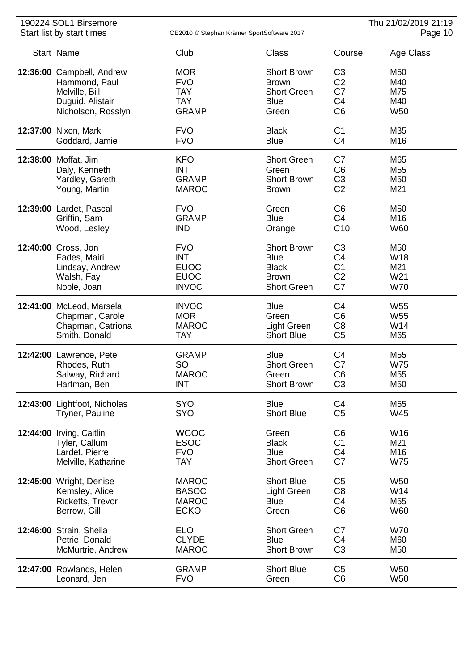| 190224 SOL1 Birsemore        |                                            |                    |                 | Thu 21/02/2019 21:19 |
|------------------------------|--------------------------------------------|--------------------|-----------------|----------------------|
| Start list by start times    | OE2010 © Stephan Krämer SportSoftware 2017 |                    |                 | Page 10              |
| Start Name                   | Club                                       | <b>Class</b>       | Course          | Age Class            |
| 12:36:00 Campbell, Andrew    | <b>MOR</b>                                 | <b>Short Brown</b> | C <sub>3</sub>  | M50                  |
| Hammond, Paul                | <b>FVO</b>                                 | <b>Brown</b>       | C <sub>2</sub>  | M40                  |
| Melville, Bill               | <b>TAY</b>                                 | <b>Short Green</b> | C <sub>7</sub>  | M75                  |
| Duguid, Alistair             | <b>TAY</b>                                 | <b>Blue</b>        | C <sub>4</sub>  | M40                  |
| Nicholson, Rosslyn           | <b>GRAMP</b>                               | Green              | C <sub>6</sub>  | <b>W50</b>           |
| 12:37:00 Nixon, Mark         | <b>FVO</b>                                 | <b>Black</b>       | C <sub>1</sub>  | M35                  |
| Goddard, Jamie               | <b>FVO</b>                                 | <b>Blue</b>        | C <sub>4</sub>  | M16                  |
| 12:38:00 Moffat, Jim         | <b>KFO</b>                                 | <b>Short Green</b> | C7              | M65                  |
| Daly, Kenneth                | <b>INT</b>                                 | Green              | C <sub>6</sub>  | M <sub>55</sub>      |
| Yardley, Gareth              | <b>GRAMP</b>                               | <b>Short Brown</b> | C <sub>3</sub>  | M50                  |
| Young, Martin                | <b>MAROC</b>                               | <b>Brown</b>       | C <sub>2</sub>  | M21                  |
| 12:39:00 Lardet, Pascal      | <b>FVO</b>                                 | Green              | C <sub>6</sub>  | M50                  |
| Griffin, Sam                 | <b>GRAMP</b>                               | <b>Blue</b>        | C <sub>4</sub>  | M <sub>16</sub>      |
| Wood, Lesley                 | <b>IND</b>                                 | Orange             | C <sub>10</sub> | <b>W60</b>           |
| 12:40:00 Cross, Jon          | <b>FVO</b>                                 | <b>Short Brown</b> | C <sub>3</sub>  | M50                  |
| Eades, Mairi                 | <b>INT</b>                                 | <b>Blue</b>        | C4              | W <sub>18</sub>      |
| Lindsay, Andrew              | <b>EUOC</b>                                | <b>Black</b>       | C <sub>1</sub>  | M21                  |
| Walsh, Fay                   | <b>EUOC</b>                                | <b>Brown</b>       | C <sub>2</sub>  | W21                  |
| Noble, Joan                  | <b>INVOC</b>                               | <b>Short Green</b> | C7              | <b>W70</b>           |
| 12:41:00 McLeod, Marsela     | <b>INVOC</b>                               | <b>Blue</b>        | C4              | W <sub>55</sub>      |
| Chapman, Carole              | <b>MOR</b>                                 | Green              | C <sub>6</sub>  | W <sub>55</sub>      |
| Chapman, Catriona            | <b>MAROC</b>                               | <b>Light Green</b> | C <sub>8</sub>  | W14                  |
| Smith, Donald                | <b>TAY</b>                                 | <b>Short Blue</b>  | C <sub>5</sub>  | M65                  |
| 12:42:00 Lawrence, Pete      | <b>GRAMP</b>                               | <b>Blue</b>        | C4              | M55                  |
| Rhodes, Ruth                 | SO                                         | <b>Short Green</b> | C7              | <b>W75</b>           |
| Salway, Richard              | <b>MAROC</b>                               | Green              | C <sub>6</sub>  | M55                  |
| Hartman, Ben                 | <b>INT</b>                                 | <b>Short Brown</b> | C <sub>3</sub>  | M50                  |
| 12:43:00 Lightfoot, Nicholas | <b>SYO</b>                                 | <b>Blue</b>        | C <sub>4</sub>  | M55                  |
| Tryner, Pauline              | <b>SYO</b>                                 | <b>Short Blue</b>  | C <sub>5</sub>  | W45                  |
| 12:44:00 Irving, Caitlin     | <b>WCOC</b>                                | Green              | C <sub>6</sub>  | W16                  |
| Tyler, Callum                | <b>ESOC</b>                                | <b>Black</b>       | C <sub>1</sub>  | M21                  |
| Lardet, Pierre               | <b>FVO</b>                                 | <b>Blue</b>        | C <sub>4</sub>  | M16                  |
| Melville, Katharine          | <b>TAY</b>                                 | <b>Short Green</b> | C7              | <b>W75</b>           |
| 12:45:00 Wright, Denise      | <b>MAROC</b>                               | <b>Short Blue</b>  | C <sub>5</sub>  | W <sub>50</sub>      |
| Kemsley, Alice               | <b>BASOC</b>                               | Light Green        | C <sub>8</sub>  | W14                  |
| Ricketts, Trevor             | <b>MAROC</b>                               | <b>Blue</b>        | C <sub>4</sub>  | M55                  |
| Berrow, Gill                 | <b>ECKO</b>                                | Green              | C <sub>6</sub>  | W60                  |
| 12:46:00 Strain, Sheila      | <b>ELO</b>                                 | <b>Short Green</b> | C7              | <b>W70</b>           |
| Petrie, Donald               | <b>CLYDE</b>                               | <b>Blue</b>        | C <sub>4</sub>  | M60                  |
| McMurtrie, Andrew            | <b>MAROC</b>                               | <b>Short Brown</b> | C <sub>3</sub>  | M50                  |
| 12:47:00 Rowlands, Helen     | <b>GRAMP</b>                               | <b>Short Blue</b>  | C <sub>5</sub>  | W50                  |
| Leonard, Jen                 | <b>FVO</b>                                 | Green              | C <sub>6</sub>  | W50                  |
|                              |                                            |                    |                 |                      |